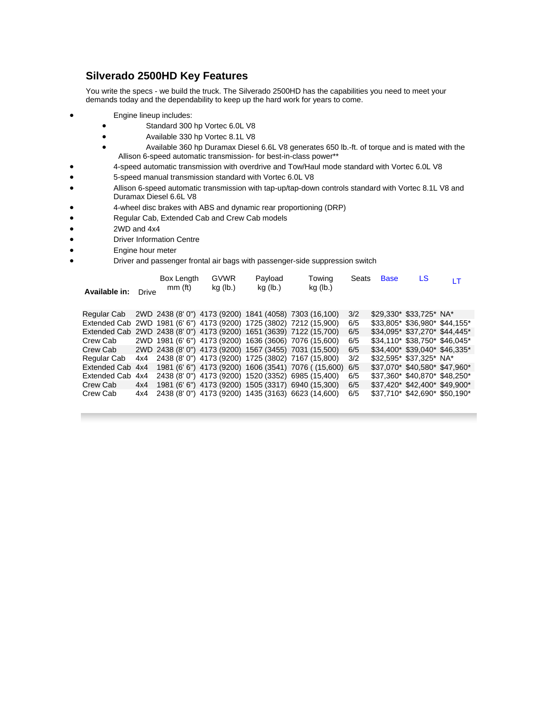# **Silverado 2500HD Key Features**

You write the specs - we build the truck. The Silverado 2500HD has the capabilities you need to meet your demands today and the dependability to keep up the hard work for years to come.

- Engine lineup includes:
	- Standard 300 hp Vortec 6.0L V8
	- Available 330 hp Vortec 8.1L V8
	- Available 360 hp Duramax Diesel 6.6L V8 generates 650 lb.-ft. of torque and is mated with the Allison 6-speed automatic transmission- for best-in-class power\*\*
- 4-speed automatic transmission with overdrive and Tow/Haul mode standard with Vortec 6.0L V8
- 5-speed manual transmission standard with Vortec 6.0L V8
- Allison 6-speed automatic transmission with tap-up/tap-down controls standard with Vortec 8.1L V8 and Duramax Diesel 6.6L V8
- 4-wheel disc brakes with ABS and dynamic rear proportioning (DRP)
- Regular Cab, Extended Cab and Crew Cab models
- 2WD and 4x4
- Driver Information Centre
- Engine hour meter
	- Driver and passenger frontal air bags with passenger-side suppression switch

| Available in:                                                       | Drive | Box Length<br>$mm$ (ft) | <b>GVWR</b><br>kg (lb.) | Payload<br>kg (lb.) | Towing<br>kg (lb.)                                     | Seats | <b>Base</b> | LS                             | ١T |
|---------------------------------------------------------------------|-------|-------------------------|-------------------------|---------------------|--------------------------------------------------------|-------|-------------|--------------------------------|----|
| Regular Cab                                                         |       |                         |                         |                     | 2WD 2438 (8'0") 4173 (9200) 1841 (4058) 7303 (16,100)  | 3/2   |             | \$29,330* \$33,725* NA*        |    |
| Extended Cab 2WD 1981 (6' 6") 4173 (9200) 1725 (3802) 7212 (15,900) |       |                         |                         |                     |                                                        | 6/5   |             | \$33,805* \$36,980* \$44,155*  |    |
| Extended Cab 2WD 2438 (8' 0") 4173 (9200) 1651 (3639) 7122 (15,700) |       |                         |                         |                     |                                                        | 6/5   |             | \$34,095* \$37,270* \$44,445*  |    |
| Crew Cab                                                            |       |                         |                         |                     | 2WD 1981 (6' 6") 4173 (9200) 1636 (3606) 7076 (15,600) | 6/5   |             | \$34.110* \$38.750* \$46.045*  |    |
| Crew Cab                                                            |       |                         |                         |                     | 2WD 2438 (8'0") 4173 (9200) 1567 (3455) 7031 (15,500)  | 6/5   |             | $$34.400*$ \$39.040* \$46.335* |    |
| Regular Cab                                                         | 4x4   |                         |                         |                     | 2438 (8' 0") 4173 (9200) 1725 (3802) 7167 (15,800)     | 3/2   |             | \$32,595* \$37,325* NA*        |    |
| Extended Cab 4x4                                                    |       |                         |                         |                     | 1981 (6' 6") 4173 (9200) 1606 (3541) 7076 ((15,600)    | 6/5   |             | \$37.070* \$40.580* \$47.960*  |    |
| Extended Cab                                                        | 4x4   |                         |                         |                     | 2438 (8' 0") 4173 (9200) 1520 (3352) 6985 (15,400)     | 6/5   |             | \$37.360* \$40.870* \$48.250*  |    |
| Crew Cab                                                            | 4x4   |                         |                         |                     | 1981 (6' 6") 4173 (9200) 1505 (3317) 6940 (15,300)     | 6/5   |             | \$37.420* \$42.400* \$49.900*  |    |
| Crew Cab                                                            | 4x4   |                         |                         |                     | 2438 (8' 0") 4173 (9200) 1435 (3163) 6623 (14,600)     | 6/5   |             | \$37,710* \$42,690* \$50,190*  |    |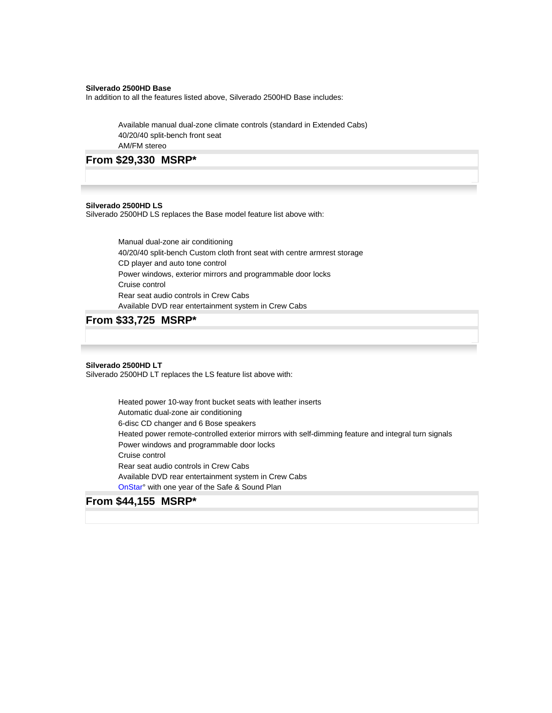## **Silverado 2500HD Base**

In addition to all the features listed above, Silverado 2500HD Base includes:

Available manual dual-zone climate controls (standard in Extended Cabs) 40/20/40 split-bench front seat AM/FM stereo

## **From \$29,330 MSRP\***

## **Silverado 2500HD LS**

Silverado 2500HD LS replaces the Base model feature list above with:

Manual dual-zone air conditioning 40/20/40 split-bench Custom cloth front seat with centre armrest storage CD player and auto tone control Power windows, exterior mirrors and programmable door locks Cruise control Rear seat audio controls in Crew Cabs Available DVD rear entertainment system in Crew Cabs

## **From \$33,725 MSRP\***

## **Silverado 2500HD LT**

Silverado 2500HD LT replaces the LS feature list above with:

Heated power 10-way front bucket seats with leather inserts Automatic dual-zone air conditioning 6-disc CD changer and 6 Bose speakers Heated power remote-controlled exterior mirrors with self-dimming feature and integral turn signals Power windows and programmable door locks Cruise control Rear seat audio controls in Crew Cabs Available DVD rear entertainment system in Crew Cabs [OnStar](http://www.gmcanada.com/english/maintenance/onstar_overview.html)° with one year of the Safe & Sound Plan

# **From \$44,155 MSRP\***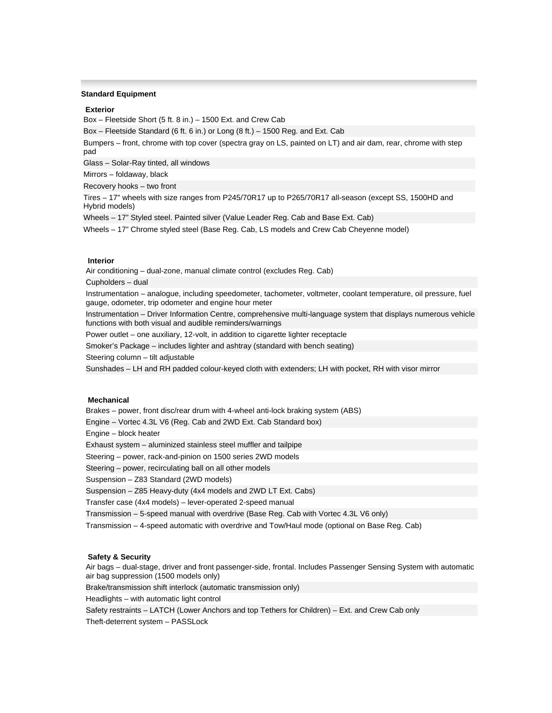## **Standard Equipment**

#### **Exterior**

Box – Fleetside Short (5 ft. 8 in.) – 1500 Ext. and Crew Cab

Box – Fleetside Standard (6 ft. 6 in.) or Long (8 ft.) – 1500 Reg. and Ext. Cab

Bumpers – front, chrome with top cover (spectra gray on LS, painted on LT) and air dam, rear, chrome with step pad

Glass – Solar-Ray tinted, all windows

Mirrors – foldaway, black

Recovery hooks – two front

Tires – 17" wheels with size ranges from P245/70R17 up to P265/70R17 all-season (except SS, 1500HD and Hybrid models)

Wheels – 17" Styled steel. Painted silver (Value Leader Reg. Cab and Base Ext. Cab)

Wheels – 17" Chrome styled steel (Base Reg. Cab, LS models and Crew Cab Cheyenne model)

### **Interior**

Air conditioning – dual-zone, manual climate control (excludes Reg. Cab)

Cupholders – dual

Instrumentation – analogue, including speedometer, tachometer, voltmeter, coolant temperature, oil pressure, fuel gauge, odometer, trip odometer and engine hour meter

Instrumentation – Driver Information Centre, comprehensive multi-language system that displays numerous vehicle functions with both visual and audible reminders/warnings

Power outlet – one auxiliary, 12-volt, in addition to cigarette lighter receptacle

Smoker's Package – includes lighter and ashtray (standard with bench seating)

Steering column – tilt adjustable

Sunshades – LH and RH padded colour-keyed cloth with extenders; LH with pocket, RH with visor mirror

## **Mechanical**

Brakes – power, front disc/rear drum with 4-wheel anti-lock braking system (ABS)

Engine – Vortec 4.3L V6 (Reg. Cab and 2WD Ext. Cab Standard box)

Engine – block heater

Exhaust system – aluminized stainless steel muffler and tailpipe

Steering – power, rack-and-pinion on 1500 series 2WD models

Steering – power, recirculating ball on all other models

Suspension – Z83 Standard (2WD models)

Suspension – Z85 Heavy-duty (4x4 models and 2WD LT Ext. Cabs)

Transfer case (4x4 models) – lever-operated 2-speed manual

Transmission – 5-speed manual with overdrive (Base Reg. Cab with Vortec 4.3L V6 only)

Transmission – 4-speed automatic with overdrive and Tow/Haul mode (optional on Base Reg. Cab)

#### **Safety & Security**

Air bags – dual-stage, driver and front passenger-side, frontal. Includes Passenger Sensing System with automatic air bag suppression (1500 models only)

Brake/transmission shift interlock (automatic transmission only)

Headlights – with automatic light control

Safety restraints – LATCH (Lower Anchors and top Tethers for Children) – Ext. and Crew Cab only

Theft-deterrent system – PASSLock